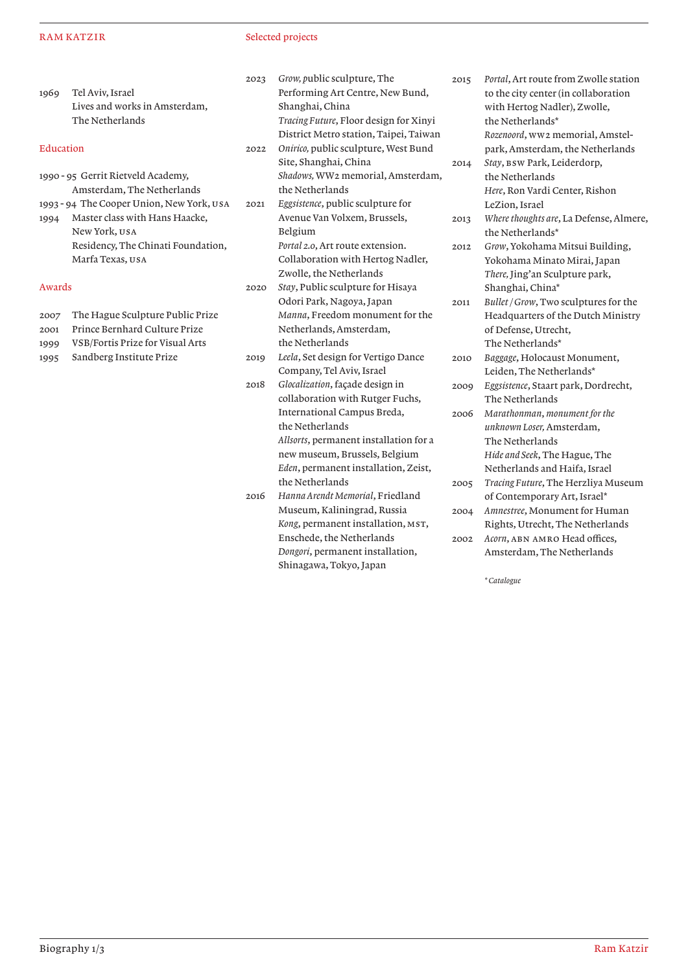### RAM KATZIR

## Selected projects

| Tel Aviv, Israel              |
|-------------------------------|
| Lives and works in Amsterdam, |
| The Netherlands               |
|                               |

# Education

- 1990 95 Gerrit Rietveld Academy, Amsterdam, The Netherlands
- 1993 94 The Cooper Union, New York, usa 1994 Master class with Hans Haacke,
- New York, usa Residency, The Chinati Foundation, Marfa Texas, usa

#### Awards

- 2007 The Hague Sculpture Public Prize
- 2001 Prince Bernhard Culture Prize
- 1999 VSB/Fortis Prize for Visual Arts
- 1995 Sandberg Institute Prize

2023 *Grow, p*ublic sculpture, The Performing Art Centre, New Bund, Shanghai, China *Tracing Future*, Floor design for Xinyi District Metro station, Taipei, Taiwan

- 2022 *Onirico,* public sculpture, West Bund Site, Shanghai, China *Shadows,* WW2 memorial, Amsterdam, the Netherlands
- 2021 *Eggsistence*, public sculpture for Avenue Van Volxem, Brussels, Belgium *Portal 2.0*, Art route extension. Collaboration with Hertog Nadler,

Zwolle, the Netherlands 2020 *Stay*, Public sculpture for Hisaya Odori Park, Nagoya, Japan *Manna*, Freedom monument for the Netherlands, Amsterdam, the Netherlands

- 2019 *Leela*, Set design for Vertigo Dance Company, Tel Aviv, Israel
- 2018 *Glocalization*, façade design in collaboration with Rutger Fuchs, International Campus Breda, the Netherlands *Allsorts*, permanent installation for a new museum, Brussels, Belgium *Eden*, permanent installation, Zeist, the Netherlands 2016 *Hanna Arendt Memorial*, Friedland
- Museum, Kaliningrad, Russia Kong, permanent installation, MST, Enschede, the Netherlands *Dongori*, permanent installation, Shinagawa, Tokyo, Japan

2015 *Portal*, Art route from Zwolle station to the city center (in collaboration with Hertog Nadler), Zwolle, the Netherlands\* *Rozenoord*, ww2 memorial, Amstelpark, Amsterdam, the Netherlands 2014 *Stay*, bsw Park, Leiderdorp, the Netherlands *Here*, Ron Vardi Center, Rishon LeZion, Israel 2013 *Where thoughts are*, La Defense, Almere, the Netherlands\* 2012 *Grow*, Yokohama Mitsui Building, Yokohama Minato Mirai, Japan *There,* Jing'an Sculpture park, Shanghai, China\* 2011 *Bullet / Grow*, Two sculptures for the Headquarters of the Dutch Ministry of Defense, Utrecht, The Netherlands\* 2010 *Baggage*, Holocaust Monument, Leiden, The Netherlands\* 2009 *Eggsistence*, Staart park, Dordrecht, The Netherlands 2006 *Marathonman*, *monument for the unknown Loser,* Amsterdam, The Netherlands *Hide and Seek*, The Hague, The Netherlands and Haifa, Israel 2005 *Tracing Future*, The Herzliya Museum of Contemporary Art, Israel\* 2004 *Amnestree*, Monument for Human Rights, Utrecht, The Netherlands 2002 *Acorn*, abn amro Head offices, Amsterdam, The Netherlands

*\* Catalogue*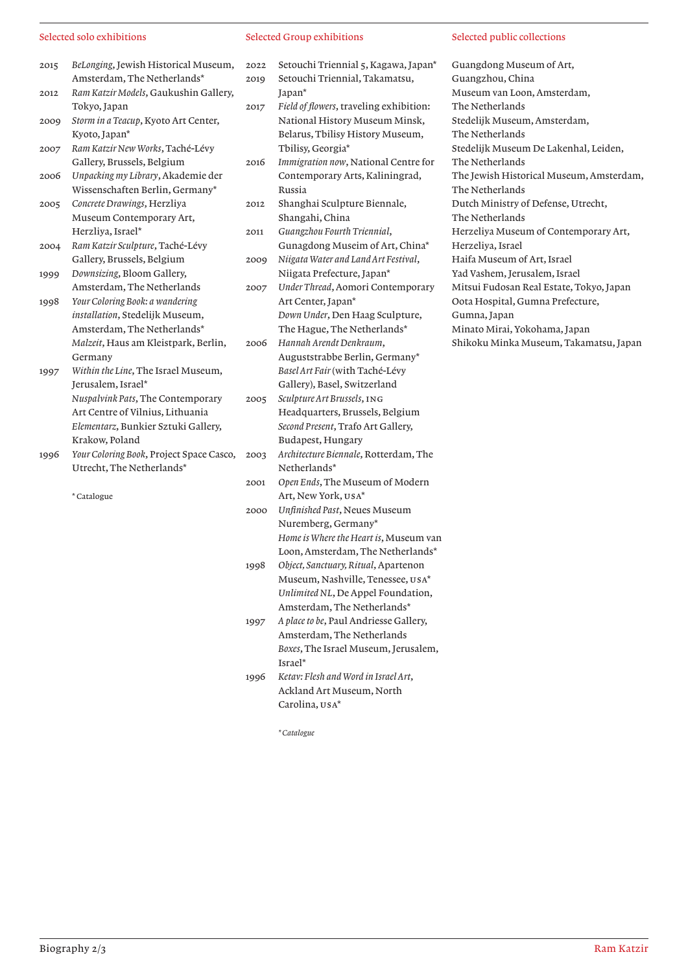### Selected solo exhibitions

- Selected Group exhibitions
- 2015 *BeLonging*, Jewish Historical Museum, Amsterdam, The Netherlands\*
- 2012 *Ram Katzir Models*, Gaukushin Gallery, Tokyo, Japan
- 2009 *Storm in a Teacup*, Kyoto Art Center, Kyoto, Japan\*
- 2007 *Ram Katzir New Works*, Taché-Lévy Gallery, Brussels, Belgium
- 2006 *Unpacking my Library*, Akademie der Wissenschaften Berlin, Germany\*
- 2005 *Concrete Drawings*, Herzliya Museum Contemporary Art, Herzliya, Israel\*
- 2004 *Ram Katzir Sculpture*, Taché-Lévy Gallery, Brussels, Belgium
- 1999 *Downsizing*, Bloom Gallery, Amsterdam, The Netherlands 1998 *Your Coloring Book: a wandering installation*, Stedelijk Museum, Amsterdam, The Netherlands\*
- *Malzeit*, Haus am Kleistpark, Berlin, Germany 1997 *Within the Line*, The Israel Museum,
- Jerusalem, Israel\* *Nuspalvink Pats*, The Contemporary Art Centre of Vilnius, Lithuania *Elementarz*, Bunkier Sztuki Gallery, Krakow, Poland
- 1996 *Your Coloring Book*, Project Space Casco, Utrecht, The Netherlands\*

\* Catalogue

- 2022 Setouchi Triennial 5, Kagawa, Japan\* 2019 Setouchi Triennial, Takamatsu, Japan\*
- 2017 *Field of flowers*, traveling exhibition: National History Museum Minsk, Belarus, Tbilisy History Museum, Tbilisy, Georgia\*
- 2016 *Immigration now*, National Centre for Contemporary Arts, Kaliningrad, Russia
- 2012 Shanghai Sculpture Biennale, Shangahi, China
- 2011 *Guangzhou Fourth Triennial*, Gunagdong Museim of Art, China\* 2009 *Niigata Water and Land Art Festival*,
- Niigata Prefecture, Japan\*
- 2007 *Under Thread*, Aomori Contemporary Art Center, Japan\* *Down Under*, Den Haag Sculpture, The Hague, The Netherlands\*
- 2006 *Hannah Arendt Denkraum*, Auguststrabbe Berlin, Germany\* *Basel Art Fair* (with Taché-Lévy Gallery), Basel, Switzerland
- 2005 *Sculpture Art Brussels*, ing Headquarters, Brussels, Belgium *Second Present*, Trafo Art Gallery, Budapest, Hungary
- 2003 *Architecture Biennale*, Rotterdam, The Netherlands\*
- 2001 *Open Ends*, The Museum of Modern Art, New York, usa\*
- 2000 *Unfinished Past*, Neues Museum Nuremberg, Germany\* *Home is Where the Heart is*, Museum van Loon, Amsterdam, The Netherlands\*
- 1998 *Object, Sanctuary, Ritual*, Apartenon Museum, Nashville, Tenessee, usa\* *Unlimited NL*, De Appel Foundation, Amsterdam, The Netherlands\*
- 1997 *A place to be*, Paul Andriesse Gallery, Amsterdam, The Netherlands *Boxes*, The Israel Museum, Jerusalem, Israel\*
- 1996 *Ketav: Flesh and Word in Israel Art*, Ackland Art Museum, North Carolina, usa\*

*\* Catalogue*

### Selected public collections

Guangdong Museum of Art, Guangzhou, China Museum van Loon, Amsterdam, The Netherlands Stedelijk Museum, Amsterdam, The Netherlands Stedelijk Museum De Lakenhal, Leiden, The Netherlands The Jewish Historical Museum, Amsterdam, The Netherlands Dutch Ministry of Defense, Utrecht, The Netherlands Herzeliya Museum of Contemporary Art, Herzeliya, Israel Haifa Museum of Art, Israel Yad Vashem, Jerusalem, Israel Mitsui Fudosan Real Estate, Tokyo, Japan Oota Hospital, Gumna Prefecture, Gumna, Japan Minato Mirai, Yokohama, Japan Shikoku Minka Museum, Takamatsu, Japan